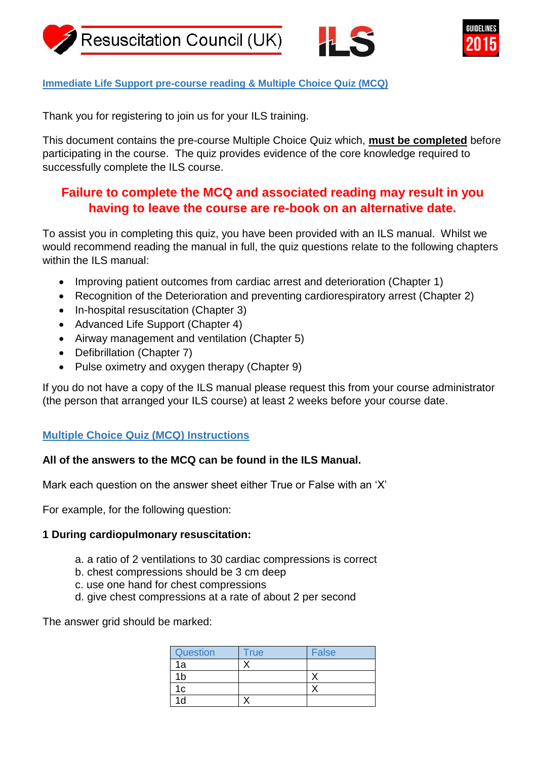





## **Immediate Life Support pre-course reading & Multiple Choice Quiz (MCQ)**

Thank you for registering to join us for your ILS training.

This document contains the pre-course Multiple Choice Quiz which, **must be completed** before participating in the course. The quiz provides evidence of the core knowledge required to successfully complete the ILS course.

# **Failure to complete the MCQ and associated reading may result in you having to leave the course are re-book on an alternative date.**

To assist you in completing this quiz, you have been provided with an ILS manual. Whilst we would recommend reading the manual in full, the quiz questions relate to the following chapters within the ILS manual:

- Improving patient outcomes from cardiac arrest and deterioration (Chapter 1)
- Recognition of the Deterioration and preventing cardiorespiratory arrest (Chapter 2)
- In-hospital resuscitation (Chapter 3)
- Advanced Life Support (Chapter 4)
- Airway management and ventilation (Chapter 5)
- Defibrillation (Chapter 7)
- Pulse oximetry and oxygen therapy (Chapter 9)

If you do not have a copy of the ILS manual please request this from your course administrator (the person that arranged your ILS course) at least 2 weeks before your course date.

# **Multiple Choice Quiz (MCQ) Instructions**

# **All of the answers to the MCQ can be found in the ILS Manual.**

Mark each question on the answer sheet either True or False with an 'X'

For example, for the following question:

# **1 During cardiopulmonary resuscitation:**

- a. a ratio of 2 ventilations to 30 cardiac compressions is correct
- b. chest compressions should be 3 cm deep
- c. use one hand for chest compressions
- d. give chest compressions at a rate of about 2 per second

The answer grid should be marked:

| Question | <b>True</b> | <b>False</b> |
|----------|-------------|--------------|
| 1a       |             |              |
| ۱b       |             |              |
| 1c       |             |              |
| d        |             |              |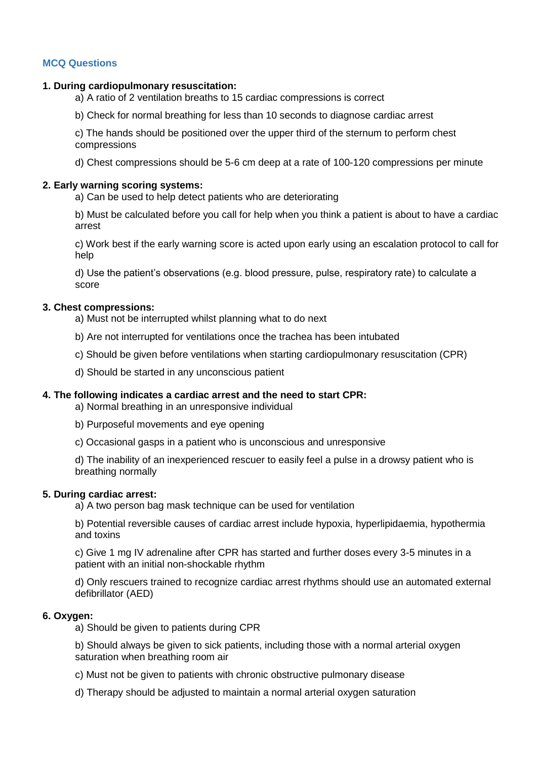### **MCQ Questions**

#### **1. During cardiopulmonary resuscitation:**

a) A ratio of 2 ventilation breaths to 15 cardiac compressions is correct

b) Check for normal breathing for less than 10 seconds to diagnose cardiac arrest

c) The hands should be positioned over the upper third of the sternum to perform chest compressions

d) Chest compressions should be 5-6 cm deep at a rate of 100-120 compressions per minute

#### **2. Early warning scoring systems:**

a) Can be used to help detect patients who are deteriorating

b) Must be calculated before you call for help when you think a patient is about to have a cardiac arrest

c) Work best if the early warning score is acted upon early using an escalation protocol to call for help

d) Use the patient's observations (e.g. blood pressure, pulse, respiratory rate) to calculate a score

#### **3. Chest compressions:**

a) Must not be interrupted whilst planning what to do next

- b) Are not interrupted for ventilations once the trachea has been intubated
- c) Should be given before ventilations when starting cardiopulmonary resuscitation (CPR)
- d) Should be started in any unconscious patient

#### **4. The following indicates a cardiac arrest and the need to start CPR:**

a) Normal breathing in an unresponsive individual

- b) Purposeful movements and eye opening
- c) Occasional gasps in a patient who is unconscious and unresponsive

d) The inability of an inexperienced rescuer to easily feel a pulse in a drowsy patient who is breathing normally

#### **5. During cardiac arrest:**

a) A two person bag mask technique can be used for ventilation

b) Potential reversible causes of cardiac arrest include hypoxia, hyperlipidaemia, hypothermia and toxins

c) Give 1 mg IV adrenaline after CPR has started and further doses every 3-5 minutes in a patient with an initial non-shockable rhythm

d) Only rescuers trained to recognize cardiac arrest rhythms should use an automated external defibrillator (AED)

### **6. Oxygen:**

a) Should be given to patients during CPR

b) Should always be given to sick patients, including those with a normal arterial oxygen saturation when breathing room air

c) Must not be given to patients with chronic obstructive pulmonary disease

d) Therapy should be adjusted to maintain a normal arterial oxygen saturation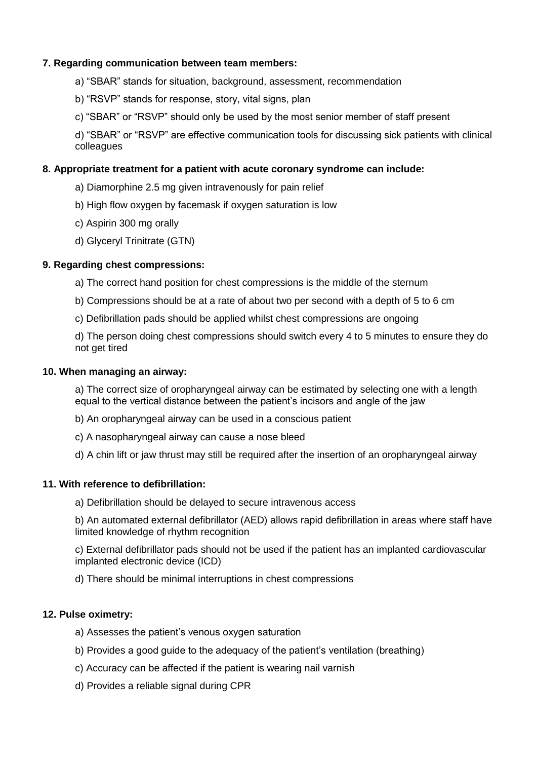### **7. Regarding communication between team members:**

- a) "SBAR" stands for situation, background, assessment, recommendation
- b) "RSVP" stands for response, story, vital signs, plan
- c) "SBAR" or "RSVP" should only be used by the most senior member of staff present

d) "SBAR" or "RSVP" are effective communication tools for discussing sick patients with clinical colleagues

### **8. Appropriate treatment for a patient with acute coronary syndrome can include:**

- a) Diamorphine 2.5 mg given intravenously for pain relief
- b) High flow oxygen by facemask if oxygen saturation is low
- c) Aspirin 300 mg orally
- d) Glyceryl Trinitrate (GTN)

### **9. Regarding chest compressions:**

- a) The correct hand position for chest compressions is the middle of the sternum
- b) Compressions should be at a rate of about two per second with a depth of 5 to 6 cm
- c) Defibrillation pads should be applied whilst chest compressions are ongoing

d) The person doing chest compressions should switch every 4 to 5 minutes to ensure they do not get tired

#### **10. When managing an airway:**

a) The correct size of oropharyngeal airway can be estimated by selecting one with a length equal to the vertical distance between the patient's incisors and angle of the jaw

- b) An oropharyngeal airway can be used in a conscious patient
- c) A nasopharyngeal airway can cause a nose bleed
- d) A chin lift or jaw thrust may still be required after the insertion of an oropharyngeal airway

#### **11. With reference to defibrillation:**

a) Defibrillation should be delayed to secure intravenous access

b) An automated external defibrillator (AED) allows rapid defibrillation in areas where staff have limited knowledge of rhythm recognition

c) External defibrillator pads should not be used if the patient has an implanted cardiovascular implanted electronic device (ICD)

d) There should be minimal interruptions in chest compressions

#### **12. Pulse oximetry:**

- a) Assesses the patient's venous oxygen saturation
- b) Provides a good guide to the adequacy of the patient's ventilation (breathing)
- c) Accuracy can be affected if the patient is wearing nail varnish
- d) Provides a reliable signal during CPR